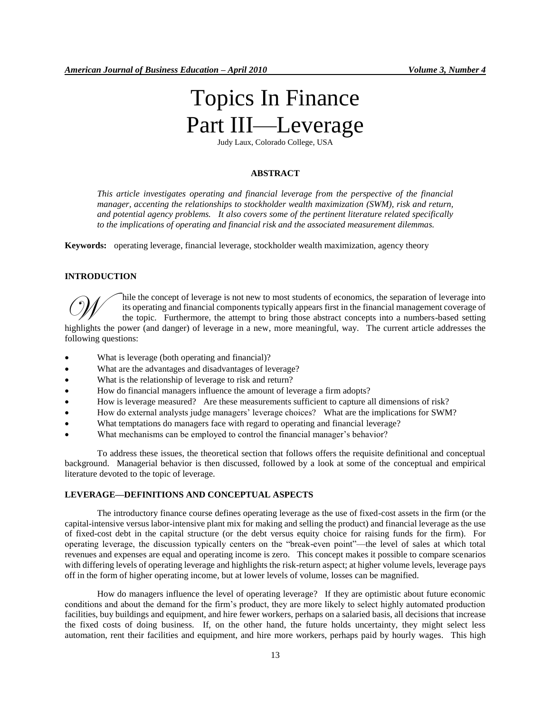# Topics In Finance Part III—Leverage

Judy Laux, Colorado College, USA

#### **ABSTRACT**

*This article investigates operating and financial leverage from the perspective of the financial manager, accenting the relationships to stockholder wealth maximization (SWM), risk and return, and potential agency problems. It also covers some of the pertinent literature related specifically to the implications of operating and financial risk and the associated measurement dilemmas.* 

**Keywords:** operating leverage, financial leverage, stockholder wealth maximization, agency theory

#### **INTRODUCTION**

hile the concept of leverage is not new to most students of economics, the separation of leverage into its operating and financial components typically appears first in the financial management coverage of the topic. Furthermore, the attempt to bring those abstract concepts into a numbers-based setting hile the concept of leverage is not new to most students of economics, the separation of leverage into its operating and financial components typically appears first in the financial management coverage of the topic. Furth

following questions:

- What is leverage (both operating and financial)?
- What are the advantages and disadvantages of leverage?
- What is the relationship of leverage to risk and return?
- How do financial managers influence the amount of leverage a firm adopts?
- How is leverage measured? Are these measurements sufficient to capture all dimensions of risk?
- How do external analysts judge managers' leverage choices? What are the implications for SWM?
- What temptations do managers face with regard to operating and financial leverage?
- What mechanisms can be employed to control the financial manager's behavior?

To address these issues, the theoretical section that follows offers the requisite definitional and conceptual background. Managerial behavior is then discussed, followed by a look at some of the conceptual and empirical literature devoted to the topic of leverage.

## **LEVERAGE—DEFINITIONS AND CONCEPTUAL ASPECTS**

The introductory finance course defines operating leverage as the use of fixed-cost assets in the firm (or the capital-intensive versus labor-intensive plant mix for making and selling the product) and financial leverage as the use of fixed-cost debt in the capital structure (or the debt versus equity choice for raising funds for the firm). For operating leverage, the discussion typically centers on the "break-even point"—the level of sales at which total revenues and expenses are equal and operating income is zero. This concept makes it possible to compare scenarios with differing levels of operating leverage and highlights the risk-return aspect; at higher volume levels, leverage pays off in the form of higher operating income, but at lower levels of volume, losses can be magnified.

How do managers influence the level of operating leverage? If they are optimistic about future economic conditions and about the demand for the firm's product, they are more likely to select highly automated production facilities, buy buildings and equipment, and hire fewer workers, perhaps on a salaried basis, all decisions that increase the fixed costs of doing business. If, on the other hand, the future holds uncertainty, they might select less automation, rent their facilities and equipment, and hire more workers, perhaps paid by hourly wages. This high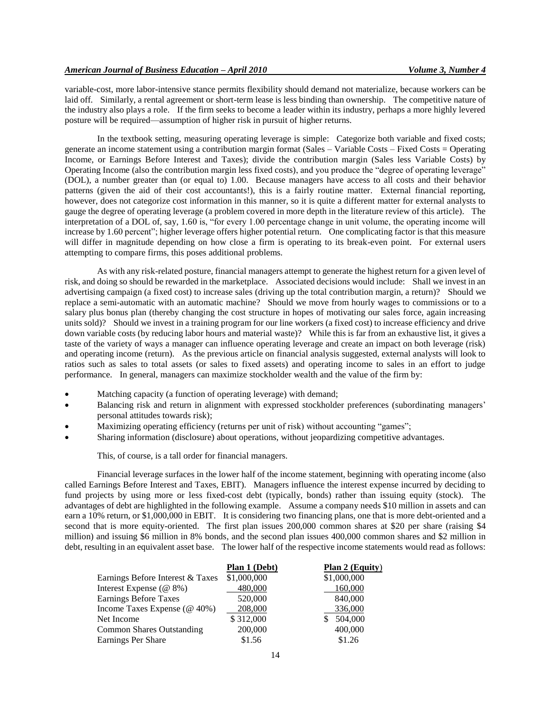variable-cost, more labor-intensive stance permits flexibility should demand not materialize, because workers can be laid off. Similarly, a rental agreement or short-term lease is less binding than ownership. The competitive nature of the industry also plays a role. If the firm seeks to become a leader within its industry, perhaps a more highly levered posture will be required—assumption of higher risk in pursuit of higher returns.

In the textbook setting, measuring operating leverage is simple: Categorize both variable and fixed costs; generate an income statement using a contribution margin format (Sales – Variable Costs – Fixed Costs = Operating Income, or Earnings Before Interest and Taxes); divide the contribution margin (Sales less Variable Costs) by Operating Income (also the contribution margin less fixed costs), and you produce the "degree of operating leverage" (DOL), a number greater than (or equal to) 1.00. Because managers have access to all costs and their behavior patterns (given the aid of their cost accountants!), this is a fairly routine matter. External financial reporting, however, does not categorize cost information in this manner, so it is quite a different matter for external analysts to gauge the degree of operating leverage (a problem covered in more depth in the literature review of this article). The interpretation of a DOL of, say, 1.60 is, "for every 1.00 percentage change in unit volume, the operating income will increase by 1.60 percent"; higher leverage offers higher potential return. One complicating factor is that this measure will differ in magnitude depending on how close a firm is operating to its break-even point. For external users attempting to compare firms, this poses additional problems.

As with any risk-related posture, financial managers attempt to generate the highest return for a given level of risk, and doing so should be rewarded in the marketplace. Associated decisions would include: Shall we invest in an advertising campaign (a fixed cost) to increase sales (driving up the total contribution margin, a return)? Should we replace a semi-automatic with an automatic machine? Should we move from hourly wages to commissions or to a salary plus bonus plan (thereby changing the cost structure in hopes of motivating our sales force, again increasing units sold)? Should we invest in a training program for our line workers (a fixed cost) to increase efficiency and drive down variable costs (by reducing labor hours and material waste)? While this is far from an exhaustive list, it gives a taste of the variety of ways a manager can influence operating leverage and create an impact on both leverage (risk) and operating income (return). As the previous article on financial analysis suggested, external analysts will look to ratios such as sales to total assets (or sales to fixed assets) and operating income to sales in an effort to judge performance. In general, managers can maximize stockholder wealth and the value of the firm by:

- Matching capacity (a function of operating leverage) with demand;
- Balancing risk and return in alignment with expressed stockholder preferences (subordinating managers' personal attitudes towards risk);
- Maximizing operating efficiency (returns per unit of risk) without accounting "games";
- Sharing information (disclosure) about operations, without jeopardizing competitive advantages.

This, of course, is a tall order for financial managers.

Financial leverage surfaces in the lower half of the income statement, beginning with operating income (also called Earnings Before Interest and Taxes, EBIT). Managers influence the interest expense incurred by deciding to fund projects by using more or less fixed-cost debt (typically, bonds) rather than issuing equity (stock). The advantages of debt are highlighted in the following example. Assume a company needs \$10 million in assets and can earn a 10% return, or \$1,000,000 in EBIT. It is considering two financing plans, one that is more debt-oriented and a second that is more equity-oriented. The first plan issues 200,000 common shares at \$20 per share (raising \$4 million) and issuing \$6 million in 8% bonds, and the second plan issues 400,000 common shares and \$2 million in debt, resulting in an equivalent asset base. The lower half of the respective income statements would read as follows:

|                                      | Plan 1 (Debt) | Plan 2 (Equity) |
|--------------------------------------|---------------|-----------------|
| Earnings Before Interest & Taxes     | \$1,000,000   | \$1,000,000     |
| Interest Expense $(\mathcal{Q} 8\%)$ | 480,000       | 160,000         |
| <b>Earnings Before Taxes</b>         | 520,000       | 840,000         |
| Income Taxes Expense $(\omega$ 40%)  | 208,000       | 336,000         |
| Net Income                           | \$312,000     | 504,000         |
| <b>Common Shares Outstanding</b>     | 200,000       | 400,000         |
| Earnings Per Share                   | \$1.56        | \$1.26          |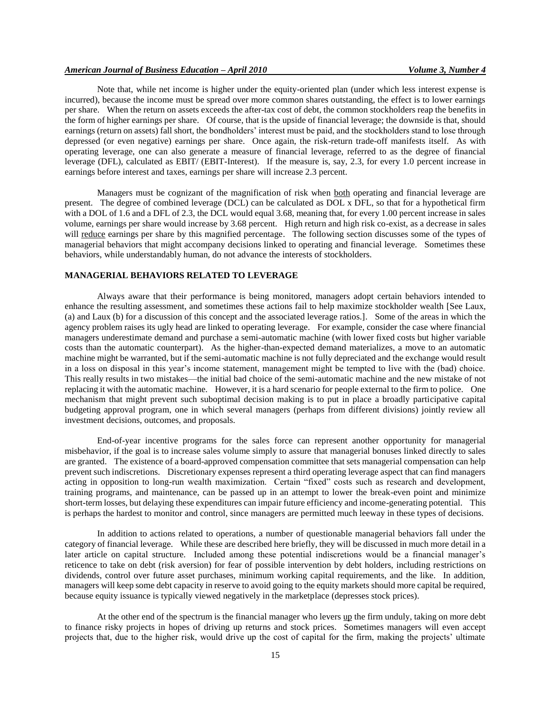Note that, while net income is higher under the equity-oriented plan (under which less interest expense is incurred), because the income must be spread over more common shares outstanding, the effect is to lower earnings per share. When the return on assets exceeds the after-tax cost of debt, the common stockholders reap the benefits in the form of higher earnings per share. Of course, that is the upside of financial leverage; the downside is that, should earnings (return on assets) fall short, the bondholders' interest must be paid, and the stockholders stand to lose through depressed (or even negative) earnings per share. Once again, the risk-return trade-off manifests itself. As with operating leverage, one can also generate a measure of financial leverage, referred to as the degree of financial leverage (DFL), calculated as EBIT/ (EBIT-Interest). If the measure is, say, 2.3, for every 1.0 percent increase in earnings before interest and taxes, earnings per share will increase 2.3 percent.

Managers must be cognizant of the magnification of risk when both operating and financial leverage are present. The degree of combined leverage (DCL) can be calculated as DOL x DFL, so that for a hypothetical firm with a DOL of 1.6 and a DFL of 2.3, the DCL would equal 3.68, meaning that, for every 1.00 percent increase in sales volume, earnings per share would increase by 3.68 percent. High return and high risk co-exist, as a decrease in sales will reduce earnings per share by this magnified percentage. The following section discusses some of the types of managerial behaviors that might accompany decisions linked to operating and financial leverage. Sometimes these behaviors, while understandably human, do not advance the interests of stockholders.

#### **MANAGERIAL BEHAVIORS RELATED TO LEVERAGE**

Always aware that their performance is being monitored, managers adopt certain behaviors intended to enhance the resulting assessment, and sometimes these actions fail to help maximize stockholder wealth [See Laux, (a) and Laux (b) for a discussion of this concept and the associated leverage ratios.]. Some of the areas in which the agency problem raises its ugly head are linked to operating leverage. For example, consider the case where financial managers underestimate demand and purchase a semi-automatic machine (with lower fixed costs but higher variable costs than the automatic counterpart). As the higher-than-expected demand materializes, a move to an automatic machine might be warranted, but if the semi-automatic machine is not fully depreciated and the exchange would result in a loss on disposal in this year's income statement, management might be tempted to live with the (bad) choice. This really results in two mistakes—the initial bad choice of the semi-automatic machine and the new mistake of not replacing it with the automatic machine. However, it is a hard scenario for people external to the firm to police. One mechanism that might prevent such suboptimal decision making is to put in place a broadly participative capital budgeting approval program, one in which several managers (perhaps from different divisions) jointly review all investment decisions, outcomes, and proposals.

End-of-year incentive programs for the sales force can represent another opportunity for managerial misbehavior, if the goal is to increase sales volume simply to assure that managerial bonuses linked directly to sales are granted. The existence of a board-approved compensation committee that sets managerial compensation can help prevent such indiscretions. Discretionary expenses represent a third operating leverage aspect that can find managers acting in opposition to long-run wealth maximization. Certain "fixed" costs such as research and development, training programs, and maintenance, can be passed up in an attempt to lower the break-even point and minimize short-term losses, but delaying these expenditures can impair future efficiency and income-generating potential. This is perhaps the hardest to monitor and control, since managers are permitted much leeway in these types of decisions.

In addition to actions related to operations, a number of questionable managerial behaviors fall under the category of financial leverage. While these are described here briefly, they will be discussed in much more detail in a later article on capital structure. Included among these potential indiscretions would be a financial manager's reticence to take on debt (risk aversion) for fear of possible intervention by debt holders, including restrictions on dividends, control over future asset purchases, minimum working capital requirements, and the like. In addition, managers will keep some debt capacity in reserve to avoid going to the equity markets should more capital be required, because equity issuance is typically viewed negatively in the marketplace (depresses stock prices).

At the other end of the spectrum is the financial manager who levers up the firm unduly, taking on more debt to finance risky projects in hopes of driving up returns and stock prices. Sometimes managers will even accept projects that, due to the higher risk, would drive up the cost of capital for the firm, making the projects' ultimate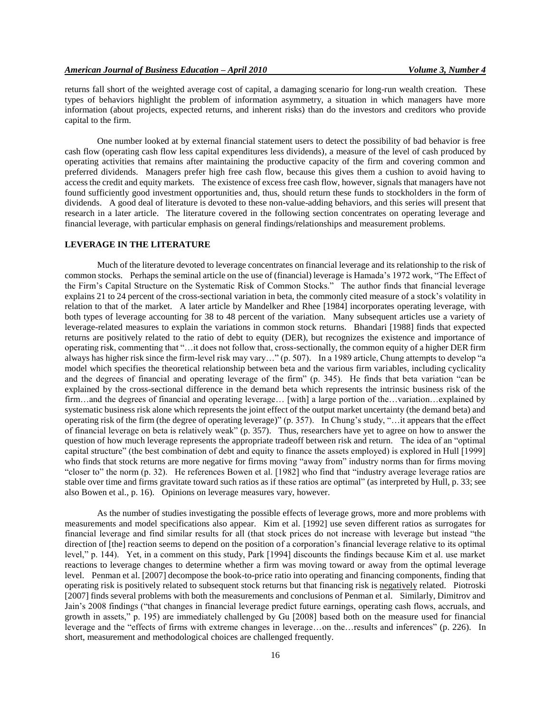returns fall short of the weighted average cost of capital, a damaging scenario for long-run wealth creation. These types of behaviors highlight the problem of information asymmetry, a situation in which managers have more information (about projects, expected returns, and inherent risks) than do the investors and creditors who provide capital to the firm.

One number looked at by external financial statement users to detect the possibility of bad behavior is free cash flow (operating cash flow less capital expenditures less dividends), a measure of the level of cash produced by operating activities that remains after maintaining the productive capacity of the firm and covering common and preferred dividends. Managers prefer high free cash flow, because this gives them a cushion to avoid having to access the credit and equity markets. The existence of excess free cash flow, however, signals that managers have not found sufficiently good investment opportunities and, thus, should return these funds to stockholders in the form of dividends. A good deal of literature is devoted to these non-value-adding behaviors, and this series will present that research in a later article. The literature covered in the following section concentrates on operating leverage and financial leverage, with particular emphasis on general findings/relationships and measurement problems.

### **LEVERAGE IN THE LITERATURE**

Much of the literature devoted to leverage concentrates on financial leverage and its relationship to the risk of common stocks. Perhaps the seminal article on the use of (financial) leverage is Hamada's 1972 work, "The Effect of the Firm's Capital Structure on the Systematic Risk of Common Stocks." The author finds that financial leverage explains 21 to 24 percent of the cross-sectional variation in beta, the commonly cited measure of a stock's volatility in relation to that of the market. A later article by Mandelker and Rhee [1984] incorporates operating leverage, with both types of leverage accounting for 38 to 48 percent of the variation. Many subsequent articles use a variety of leverage-related measures to explain the variations in common stock returns. Bhandari [1988] finds that expected returns are positively related to the ratio of debt to equity (DER), but recognizes the existence and importance of operating risk, commenting that ―…it does not follow that, cross-sectionally, the common equity of a higher DER firm always has higher risk since the firm-level risk may vary…" (p. 507). In a 1989 article, Chung attempts to develop "a model which specifies the theoretical relationship between beta and the various firm variables, including cyclicality and the degrees of financial and operating leverage of the firm" (p. 345). He finds that beta variation "can be explained by the cross-sectional difference in the demand beta which represents the intrinsic business risk of the firm…and the degrees of financial and operating leverage… [with] a large portion of the…variation…explained by systematic business risk alone which represents the joint effect of the output market uncertainty (the demand beta) and operating risk of the firm (the degree of operating leverage)" (p. 357). In Chung's study, "...it appears that the effect of financial leverage on beta is relatively weak" (p. 357). Thus, researchers have yet to agree on how to answer the question of how much leverage represents the appropriate tradeoff between risk and return. The idea of an "optimal" capital structure" (the best combination of debt and equity to finance the assets employed) is explored in Hull [1999] who finds that stock returns are more negative for firms moving "away from" industry norms than for firms moving "closer to" the norm  $(p, 32)$ . He references Bowen et al. [1982] who find that "industry average leverage ratios are stable over time and firms gravitate toward such ratios as if these ratios are optimal" (as interpreted by Hull, p. 33; see also Bowen et al., p. 16). Opinions on leverage measures vary, however.

As the number of studies investigating the possible effects of leverage grows, more and more problems with measurements and model specifications also appear. Kim et al. [1992] use seven different ratios as surrogates for financial leverage and find similar results for all (that stock prices do not increase with leverage but instead "the direction of [the] reaction seems to depend on the position of a corporation's financial leverage relative to its optimal level," p. 144). Yet, in a comment on this study, Park [1994] discounts the findings because Kim et al. use market reactions to leverage changes to determine whether a firm was moving toward or away from the optimal leverage level. Penman et al. [2007] decompose the book-to-price ratio into operating and financing components, finding that operating risk is positively related to subsequent stock returns but that financing risk is negatively related. Piotroski [2007] finds several problems with both the measurements and conclusions of Penman et al. Similarly, Dimitrov and Jain's 2008 findings ("that changes in financial leverage predict future earnings, operating cash flows, accruals, and growth in assets," p. 195) are immediately challenged by Gu [2008] based both on the measure used for financial leverage and the "effects of firms with extreme changes in leverage...on the…results and inferences" (p. 226). In short, measurement and methodological choices are challenged frequently.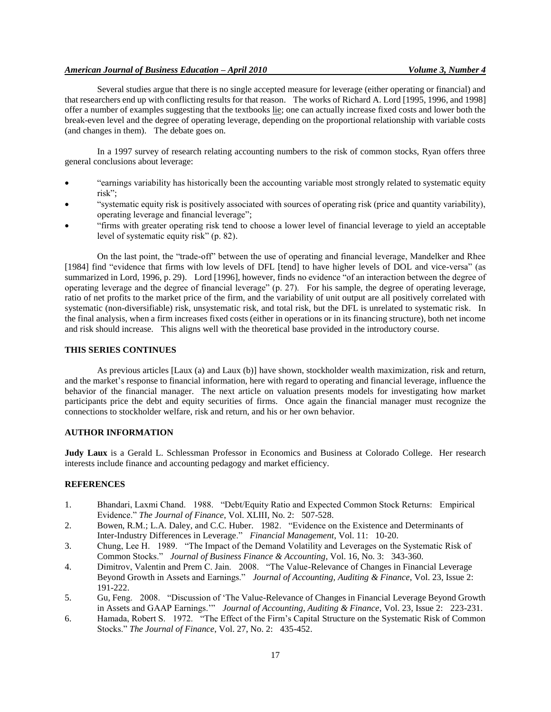#### *American Journal of Business Education – April 2010 Volume 3, Number 4*

Several studies argue that there is no single accepted measure for leverage (either operating or financial) and that researchers end up with conflicting results for that reason. The works of Richard A. Lord [1995, 1996, and 1998] offer a number of examples suggesting that the textbooks lie; one can actually increase fixed costs and lower both the break-even level and the degree of operating leverage, depending on the proportional relationship with variable costs (and changes in them). The debate goes on.

In a 1997 survey of research relating accounting numbers to the risk of common stocks, Ryan offers three general conclusions about leverage:

- ―earnings variability has historically been the accounting variable most strongly related to systematic equity risk";
- ―systematic equity risk is positively associated with sources of operating risk (price and quantity variability), operating leverage and financial leverage";
- ―firms with greater operating risk tend to choose a lower level of financial leverage to yield an acceptable level of systematic equity risk" (p. 82).

On the last point, the "trade-off" between the use of operating and financial leverage, Mandelker and Rhee [1984] find "evidence that firms with low levels of DFL [tend] to have higher levels of DOL and vice-versa" (as summarized in Lord, 1996, p. 29). Lord [1996], however, finds no evidence "of an interaction between the degree of operating leverage and the degree of financial leverage" (p. 27). For his sample, the degree of operating leverage, ratio of net profits to the market price of the firm, and the variability of unit output are all positively correlated with systematic (non-diversifiable) risk, unsystematic risk, and total risk, but the DFL is unrelated to systematic risk. In the final analysis, when a firm increases fixed costs (either in operations or in its financing structure), both net income and risk should increase. This aligns well with the theoretical base provided in the introductory course.

#### **THIS SERIES CONTINUES**

As previous articles [Laux (a) and Laux (b)] have shown, stockholder wealth maximization, risk and return, and the market's response to financial information, here with regard to operating and financial leverage, influence the behavior of the financial manager. The next article on valuation presents models for investigating how market participants price the debt and equity securities of firms. Once again the financial manager must recognize the connections to stockholder welfare, risk and return, and his or her own behavior.

# **AUTHOR INFORMATION**

**Judy Laux** is a Gerald L. Schlessman Professor in Economics and Business at Colorado College. Her research interests include finance and accounting pedagogy and market efficiency.

#### **REFERENCES**

- 1. Bhandari, Laxmi Chand. 1988. "Debt/Equity Ratio and Expected Common Stock Returns: Empirical Evidence." *The Journal of Finance*, Vol. XLIII, No. 2: 507-528.
- 2. Bowen, R.M.; L.A. Daley, and C.C. Huber. 1982. "Evidence on the Existence and Determinants of Inter-Industry Differences in Leverage.‖ *Financial Management*, Vol. 11: 10-20.
- 3. Chung, Lee H. 1989. "The Impact of the Demand Volatility and Leverages on the Systematic Risk of Common Stocks.‖ *Journal of Business Finance & Accounting*, Vol. 16, No. 3: 343-360.
- 4. Dimitrov, Valentin and Prem C. Jain. 2008. "The Value-Relevance of Changes in Financial Leverage Beyond Growth in Assets and Earnings.‖ *Journal of Accounting, Auditing & Finance*, Vol. 23, Issue 2: 191-222.
- 5. Gu, Feng. 2008. "Discussion of 'The Value-Relevance of Changes in Financial Leverage Beyond Growth in Assets and GAAP Earnings." *Journal of Accounting, Auditing & Finance*, Vol. 23, Issue 2: 223-231.
- 6. Hamada, Robert S. 1972. "The Effect of the Firm's Capital Structure on the Systematic Risk of Common Stocks.‖ *The Journal of Finance*, Vol. 27, No. 2: 435-452.